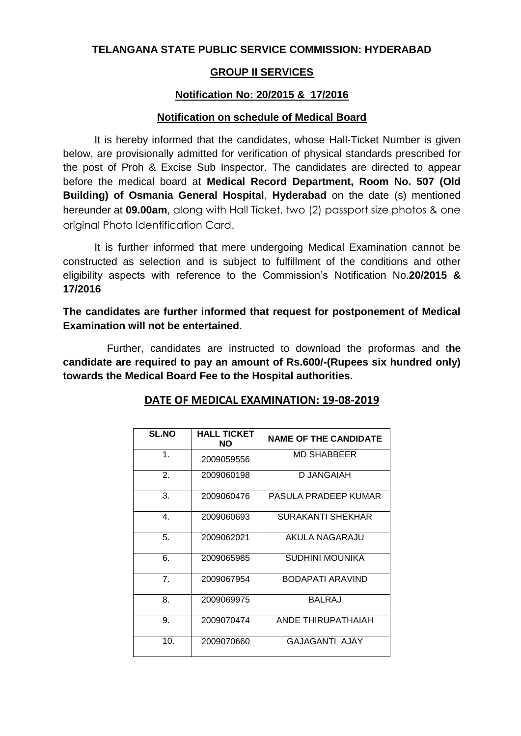## **TELANGANA STATE PUBLIC SERVICE COMMISSION: HYDERABAD**

## **GROUP II SERVICES**

## **Notification No: 20/2015 & 17/2016**

#### **Notification on schedule of Medical Board**

It is hereby informed that the candidates, whose Hall-Ticket Number is given below, are provisionally admitted for verification of physical standards prescribed for the post of Proh & Excise Sub Inspector. The candidates are directed to appear before the medical board at **Medical Record Department, Room No. 507 (Old Building) of Osmania General Hospital**, **Hyderabad** on the date (s) mentioned hereunder at **09.00am**, along with Hall Ticket, two (2) passport size photos & one original Photo Identification Card.

It is further informed that mere undergoing Medical Examination cannot be constructed as selection and is subject to fulfillment of the conditions and other eligibility aspects with reference to the Commission's Notification No.**20/2015 & 17/2016**

**The candidates are further informed that request for postponement of Medical Examination will not be entertained**.

Further, candidates are instructed to download the proformas and t**he candidate are required to pay an amount of Rs.600/-(Rupees six hundred only) towards the Medical Board Fee to the Hospital authorities.**

| <b>SL.NO</b>   | <b>HALL TICKET</b><br><b>NO</b> | <b>NAME OF THE CANDIDATE</b> |
|----------------|---------------------------------|------------------------------|
| 1.             | 2009059556                      | <b>MD SHABBEER</b>           |
| 2.             | 2009060198                      | D JANGAIAH                   |
| 3.             | 2009060476                      | PASULA PRADEEP KUMAR         |
| $4_{\cdot}$    | 2009060693                      | SURAKANTI SHEKHAR            |
| 5.             | 2009062021                      | AKULA NAGARAJU               |
| 6.             | 2009065985                      | <b>SUDHINI MOUNIKA</b>       |
| 7 <sub>1</sub> | 2009067954                      | BODAPATI ARAVIND             |
| 8.             | 2009069975                      | BALRAJ                       |
| 9.             | 2009070474                      | ANDE THIRUPATHAIAH           |
| 10.            | 2009070660                      | <b>GAJAGANTI AJAY</b>        |

#### **DATE OF MEDICAL EXAMINATION: 19-08-2019**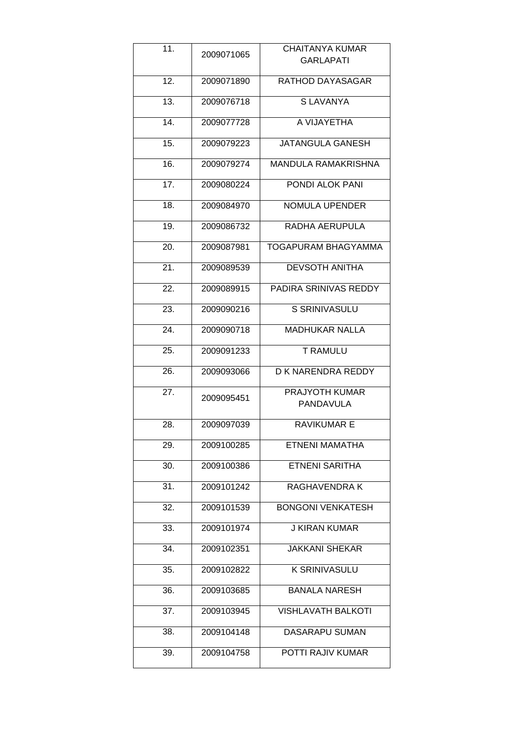| 11.               | 2009071065 | <b>CHAITANYA KUMAR</b><br><b>GARLAPATI</b> |
|-------------------|------------|--------------------------------------------|
| 12.               | 2009071890 | RATHOD DAYASAGAR                           |
| 13.               | 2009076718 | <b>SLAVANYA</b>                            |
| 14.               | 2009077728 | A VIJAYETHA                                |
| 15.               | 2009079223 | <b>JATANGULA GANESH</b>                    |
| 16.               | 2009079274 | <b>MANDULA RAMAKRISHNA</b>                 |
| 17.               | 2009080224 | PONDI ALOK PANI                            |
| 18.               | 2009084970 | <b>NOMULA UPENDER</b>                      |
| 19.               | 2009086732 | RADHA AERUPULA                             |
| 20.               | 2009087981 | <b>TOGAPURAM BHAGYAMMA</b>                 |
| 21.               | 2009089539 | <b>DEVSOTH ANITHA</b>                      |
| 22.               | 2009089915 | PADIRA SRINIVAS REDDY                      |
| 23.               | 2009090216 | <b>S SRINIVASULU</b>                       |
| 24.               | 2009090718 | <b>MADHUKAR NALLA</b>                      |
| 25.               | 2009091233 | T RAMULU                                   |
| $\overline{26}$ . | 2009093066 | D K NARENDRA REDDY                         |
| $\overline{27}$ . | 2009095451 | PRAJYOTH KUMAR<br>PANDAVULA                |
| 28.               | 2009097039 | <b>RAVIKUMAR E</b>                         |
| 29.               | 2009100285 | ETNENI MAMATHA                             |
| 30.               | 2009100386 | <b>ETNENI SARITHA</b>                      |
| 31.               | 2009101242 | RAGHAVENDRA K                              |
| 32.               | 2009101539 | <b>BONGONI VENKATESH</b>                   |
| 33.               | 2009101974 | <b>J KIRAN KUMAR</b>                       |
| 34.               | 2009102351 | <b>JAKKANI SHEKAR</b>                      |
| 35.               | 2009102822 | <b>K SRINIVASULU</b>                       |
| 36.               | 2009103685 | <b>BANALA NARESH</b>                       |
| 37.               | 2009103945 | <b>VISHLAVATH BALKOTI</b>                  |
| 38.               | 2009104148 | DASARAPU SUMAN                             |
| 39.               | 2009104758 | POTTI RAJIV KUMAR                          |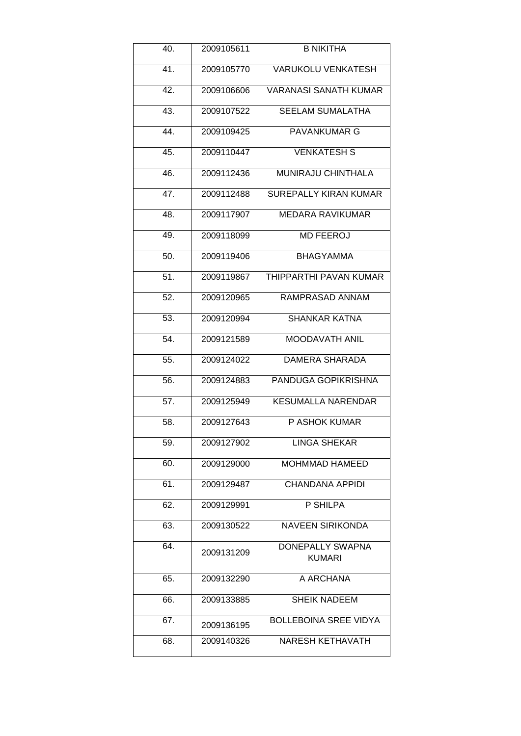| 40. | 2009105611 | <b>B NIKITHA</b>                  |
|-----|------------|-----------------------------------|
| 41. | 2009105770 | <b>VARUKOLU VENKATESH</b>         |
| 42. | 2009106606 | VARANASI SANATH KUMAR             |
| 43. | 2009107522 | <b>SEELAM SUMALATHA</b>           |
| 44. | 2009109425 | <b>PAVANKUMAR G</b>               |
| 45. | 2009110447 | <b>VENKATESH S</b>                |
| 46. | 2009112436 | MUNIRAJU CHINTHALA                |
| 47. | 2009112488 | <b>SUREPALLY KIRAN KUMAR</b>      |
| 48. | 2009117907 | <b>MEDARA RAVIKUMAR</b>           |
| 49. | 2009118099 | <b>MD FEEROJ</b>                  |
| 50. | 2009119406 | <b>BHAGYAMMA</b>                  |
| 51. | 2009119867 | THIPPARTHI PAVAN KUMAR            |
| 52. | 2009120965 | RAMPRASAD ANNAM                   |
| 53. | 2009120994 | <b>SHANKAR KATNA</b>              |
| 54. | 2009121589 | MOODAVATH ANIL                    |
| 55. | 2009124022 | <b>DAMERA SHARADA</b>             |
| 56. | 2009124883 | PANDUGA GOPIKRISHNA               |
| 57. | 2009125949 | <b>KESUMALLA NARENDAR</b>         |
| 58. | 2009127643 | P ASHOK KUMAR                     |
| 59. | 2009127902 | <b>LINGA SHEKAR</b>               |
| 60. | 2009129000 | <b>MOHMMAD HAMEED</b>             |
| 61. | 2009129487 | <b>CHANDANA APPIDI</b>            |
| 62. | 2009129991 | P SHILPA                          |
| 63. | 2009130522 | <b>NAVEEN SIRIKONDA</b>           |
| 64. | 2009131209 | DONEPALLY SWAPNA<br><b>KUMARI</b> |
| 65. | 2009132290 | A ARCHANA                         |
| 66. | 2009133885 | <b>SHEIK NADEEM</b>               |
| 67. | 2009136195 | <b>BOLLEBOINA SREE VIDYA</b>      |
| 68. | 2009140326 | <b>NARESH KETHAVATH</b>           |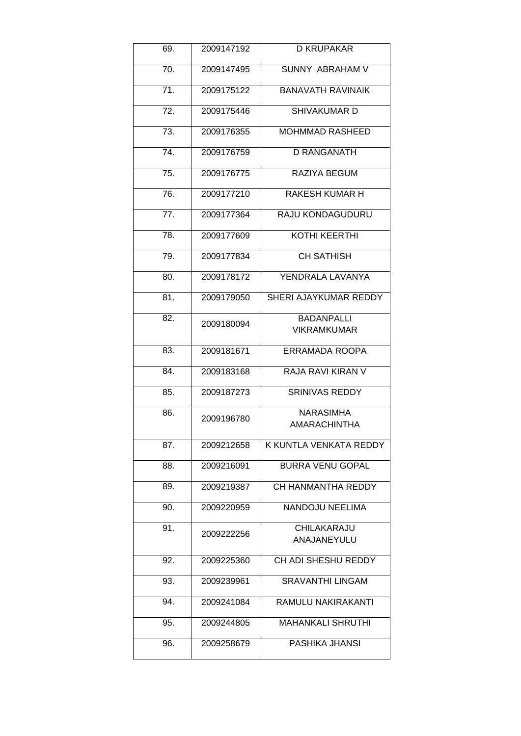| 69. | 2009147192 | <b>D KRUPAKAR</b>          |
|-----|------------|----------------------------|
| 70. | 2009147495 | SUNNY ABRAHAM V            |
| 71. | 2009175122 | <b>BANAVATH RAVINAIK</b>   |
| 72. | 2009175446 | SHIVAKUMAR D               |
| 73. | 2009176355 | <b>MOHMMAD RASHEED</b>     |
| 74. | 2009176759 | <b>D RANGANATH</b>         |
| 75. | 2009176775 | RAZIYA BEGUM               |
| 76. | 2009177210 | <b>RAKESH KUMAR H</b>      |
| 77. | 2009177364 | RAJU KONDAGUDURU           |
| 78. | 2009177609 | <b>KOTHI KEERTHI</b>       |
| 79. | 2009177834 | <b>CH SATHISH</b>          |
| 80. | 2009178172 | YENDRALA LAVANYA           |
| 81. | 2009179050 | SHERI AJAYKUMAR REDDY      |
| 82. | 2009180094 | <b>BADANPALLI</b>          |
|     |            | VIKRAMKUMAR                |
| 83. | 2009181671 | ERRAMADA ROOPA             |
| 84. | 2009183168 | RAJA RAVI KIRAN V          |
| 85. | 2009187273 | <b>SRINIVAS REDDY</b>      |
| 86. | 2009196780 | <b>NARASIMHA</b>           |
|     |            | <b>AMARACHINTHA</b>        |
| 87. | 2009212658 | K KUNTLA VENKATA REDDY     |
| 88. | 2009216091 | <b>BURRA VENU GOPAL</b>    |
| 89. | 2009219387 | CH HANMANTHA REDDY         |
| 90. | 2009220959 | NANDOJU NEELIMA            |
| 91. | 2009222256 | CHILAKARAJU                |
|     |            | ANAJANEYULU                |
| 92. | 2009225360 | <b>CH ADI SHESHU REDDY</b> |
| 93. | 2009239961 | <b>SRAVANTHI LINGAM</b>    |
| 94. | 2009241084 | RAMULU NAKIRAKANTI         |
| 95. | 2009244805 | <b>MAHANKALI SHRUTHI</b>   |
| 96. | 2009258679 | PASHIKA JHANSI             |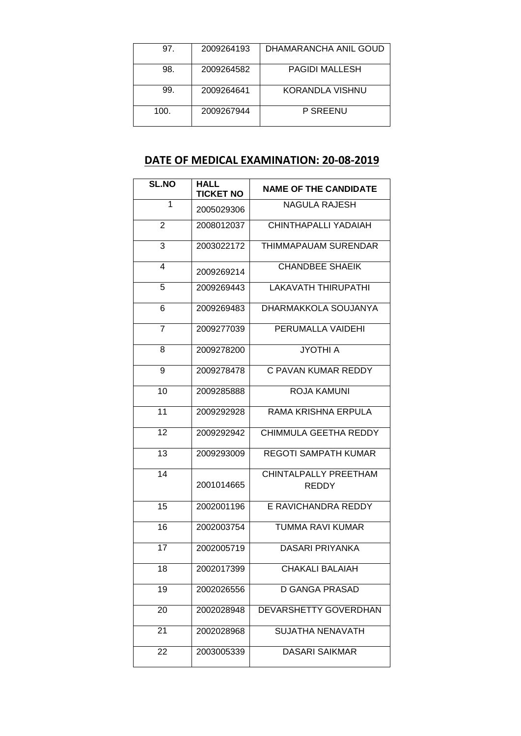| 97.  | 2009264193 | DHAMARANCHA ANIL GOUD |
|------|------------|-----------------------|
| 98.  | 2009264582 | <b>PAGIDI MALLESH</b> |
| 99.  | 2009264641 | KORANDLA VISHNU       |
| 100. | 2009267944 | P SREENU              |

# **DATE OF MEDICAL EXAMINATION: 20-08-2019**

| <b>SL.NO</b>   | <b>HALL</b>      |                                |
|----------------|------------------|--------------------------------|
|                | <b>TICKET NO</b> | <b>NAME OF THE CANDIDATE</b>   |
| 1              | 2005029306       | NAGULA RAJESH                  |
| $\overline{2}$ | 2008012037       | CHINTHAPALLI YADAIAH           |
| 3              | 2003022172       | <b>THIMMAPAUAM SURENDAR</b>    |
| 4              | 2009269214       | <b>CHANDBEE SHAEIK</b>         |
| 5              | 2009269443       | <b>LAKAVATH THIRUPATHI</b>     |
| 6              | 2009269483       | DHARMAKKOLA SOUJANYA           |
| 7              | 2009277039       | PERUMALLA VAIDEHI              |
| 8              | 2009278200       | JYOTHI A                       |
| 9              | 2009278478       | C PAVAN KUMAR REDDY            |
| 10             | 2009285888       | ROJA KAMUNI                    |
| 11             | 2009292928       | RAMA KRISHNA ERPULA            |
| 12             | 2009292942       | CHIMMULA GEETHA REDDY          |
| 13             | 2009293009       | <b>REGOTI SAMPATH KUMAR</b>    |
| 14             | 2001014665       | CHINTALPALLY PREETHAM<br>REDDY |
| 15             | 2002001196       | E RAVICHANDRA REDDY            |
| 16             | 2002003754       | TUMMA RAVI KUMAR               |
| 17             | 2002005719       | DASARI PRIYANKA                |
| 18             | 2002017399       | CHAKALI BALAIAH                |
| 19             | 2002026556       | <b>D GANGA PRASAD</b>          |
| 20             | 2002028948       | DEVARSHETTY GOVERDHAN          |
| 21             | 2002028968       | <b>SUJATHA NENAVATH</b>        |
| 22             | 2003005339       | <b>DASARI SAIKMAR</b>          |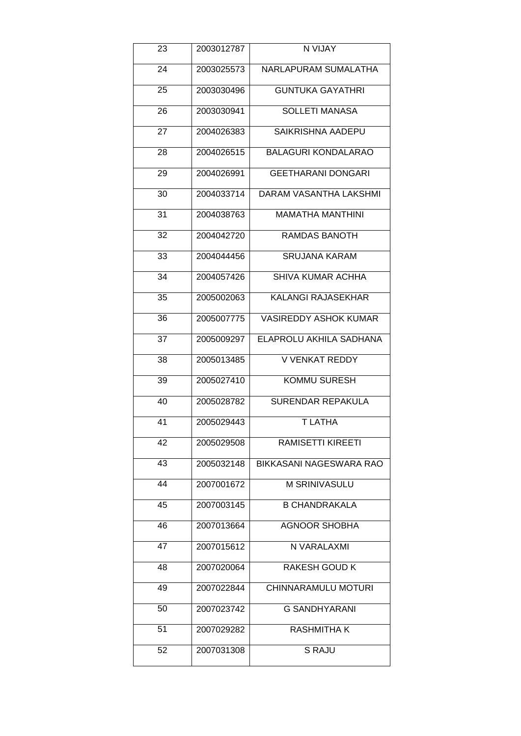| 23 | 2003012787 | N VIJAY                      |
|----|------------|------------------------------|
| 24 | 2003025573 | <b>NARLAPURAM SUMALATHA</b>  |
| 25 | 2003030496 | <b>GUNTUKA GAYATHRI</b>      |
| 26 | 2003030941 | <b>SOLLETI MANASA</b>        |
| 27 | 2004026383 | SAIKRISHNA AADEPU            |
| 28 | 2004026515 | <b>BALAGURI KONDALARAO</b>   |
| 29 | 2004026991 | <b>GEETHARANI DONGARI</b>    |
| 30 | 2004033714 | DARAM VASANTHA LAKSHMI       |
| 31 | 2004038763 | <b>MAMATHA MANTHINI</b>      |
| 32 | 2004042720 | RAMDAS BANOTH                |
| 33 | 2004044456 | <b>SRUJANA KARAM</b>         |
| 34 | 2004057426 | SHIVA KUMAR ACHHA            |
| 35 | 2005002063 | <b>KALANGI RAJASEKHAR</b>    |
| 36 | 2005007775 | <b>VASIREDDY ASHOK KUMAR</b> |
| 37 | 2005009297 | ELAPROLU AKHILA SADHANA      |
| 38 | 2005013485 | <b>V VENKAT REDDY</b>        |
| 39 | 2005027410 | <b>KOMMU SURESH</b>          |
| 40 | 2005028782 | <b>SURENDAR REPAKULA</b>     |
| 41 | 2005029443 | <b>TLATHA</b>                |
| 42 | 2005029508 | <b>RAMISETTI KIREETI</b>     |
| 43 | 2005032148 | BIKKASANI NAGESWARA RAO      |
| 44 | 2007001672 | M SRINIVASULU                |
| 45 | 2007003145 | <b>B CHANDRAKALA</b>         |
| 46 | 2007013664 | <b>AGNOOR SHOBHA</b>         |
| 47 | 2007015612 | N VARALAXMI                  |
| 48 | 2007020064 | RAKESH GOUD K                |
| 49 | 2007022844 | CHINNARAMULU MOTURI          |
| 50 | 2007023742 | <b>G SANDHYARANI</b>         |
| 51 | 2007029282 | RASHMITHA K                  |
| 52 | 2007031308 | <b>S RAJU</b>                |
|    |            |                              |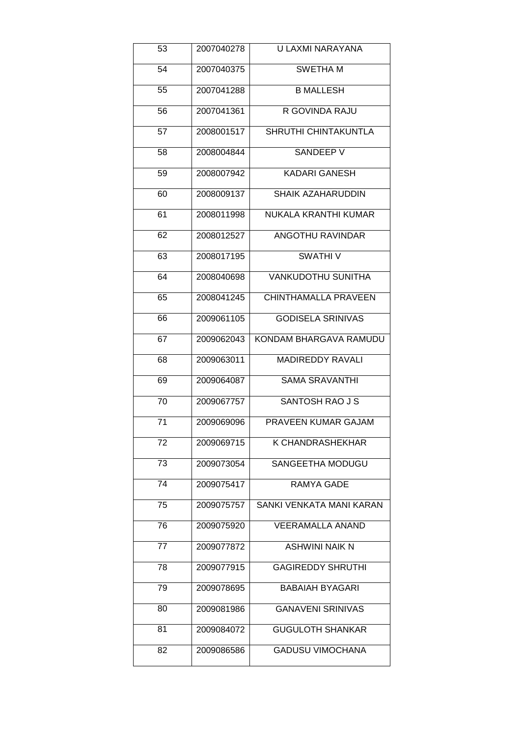| 53 | 2007040278 | U LAXMI NARAYANA            |
|----|------------|-----------------------------|
| 54 | 2007040375 | <b>SWETHAM</b>              |
| 55 | 2007041288 | <b>B MALLESH</b>            |
| 56 | 2007041361 | R GOVINDA RAJU              |
| 57 | 2008001517 | SHRUTHI CHINTAKUNTLA        |
| 58 | 2008004844 | SANDEEP V                   |
| 59 | 2008007942 | <b>KADARI GANESH</b>        |
| 60 | 2008009137 | <b>SHAIK AZAHARUDDIN</b>    |
| 61 | 2008011998 | NUKALA KRANTHI KUMAR        |
| 62 | 2008012527 | <b>ANGOTHU RAVINDAR</b>     |
| 63 | 2008017195 | <b>SWATHIV</b>              |
| 64 | 2008040698 | <b>VANKUDOTHU SUNITHA</b>   |
| 65 | 2008041245 | <b>CHINTHAMALLA PRAVEEN</b> |
| 66 | 2009061105 | <b>GODISELA SRINIVAS</b>    |
| 67 | 2009062043 | KONDAM BHARGAVA RAMUDU      |
| 68 | 2009063011 | <b>MADIREDDY RAVALI</b>     |
| 69 | 2009064087 | <b>SAMA SRAVANTHI</b>       |
| 70 | 2009067757 | <b>SANTOSH RAO J S</b>      |
| 71 | 2009069096 | PRAVEEN KUMAR GAJAM         |
| 72 | 2009069715 | K CHANDRASHEKHAR            |
| 73 | 2009073054 | SANGEETHA MODUGU            |
| 74 | 2009075417 | <b>RAMYA GADE</b>           |
| 75 | 2009075757 | SANKI VENKATA MANI KARAN    |
| 76 | 2009075920 | <b>VEERAMALLA ANAND</b>     |
| 77 | 2009077872 | <b>ASHWINI NAIK N</b>       |
| 78 | 2009077915 | <b>GAGIREDDY SHRUTHI</b>    |
| 79 | 2009078695 | <b>BABAIAH BYAGARI</b>      |
| 80 | 2009081986 | <b>GANAVENI SRINIVAS</b>    |
| 81 | 2009084072 | <b>GUGULOTH SHANKAR</b>     |
| 82 | 2009086586 | <b>GADUSU VIMOCHANA</b>     |